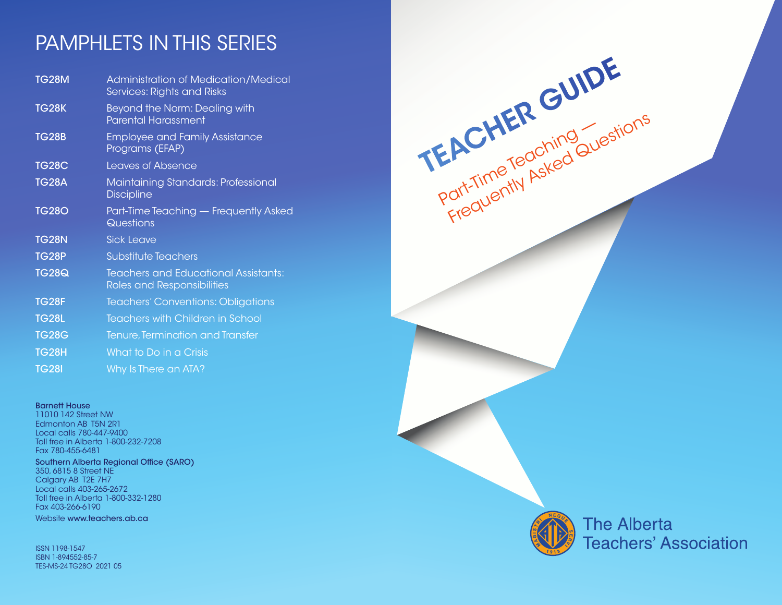# PAMPHLETS IN THIS SERIES

| <b>TG28M</b> | <b>Administration of Medication/Medical</b><br><b>Services: Rights and Risks</b> |
|--------------|----------------------------------------------------------------------------------|
| <b>TG28K</b> | Beyond the Norm: Dealing with<br><b>Parental Harassment</b>                      |
| <b>TG28B</b> | <b>Employee and Family Assistance</b><br>Programs (EFAP)                         |
| <b>TG28C</b> | <b>Leaves of Absence</b>                                                         |
| <b>TG28A</b> | Maintaining Standards: Professional<br><b>Discipline</b>                         |
| <b>TG280</b> | Part-Time Teaching - Frequently Asked<br>Questions                               |
| <b>TG28N</b> | Sick Leave                                                                       |
| <b>TG28P</b> | <b>Substitute Teachers</b>                                                       |
| <b>TG28Q</b> | <b>Teachers and Educational Assistants:</b><br>Roles and Responsibilities        |
| <b>TG28F</b> | Teachers' Conventions: Obligations                                               |
| <b>TG28L</b> | Teachers with Children in School                                                 |
| <b>TG28G</b> | Tenure, Termination and Transfer                                                 |
| <b>TG28H</b> | What to Do in a Crisis                                                           |
| <b>TG281</b> | Why Is There an ATA?                                                             |

#### Barnett House

11010 142 Street NW Edmonton AB T5N 2R1 Local calls 780-447-9400 Toll free in Alberta 1-800-232-7208 Fax 780-455-6481

### Southern Alberta Regional Office (SARO) 350, 6815 8 Street NE

Calgary AB T2E 7H7 Local calls 403-265-2672 Toll free in Alberta 1-800-332-1280 Fax 403-266-6190

Website www.teachers.ab.ca

ISSN 1198-1547 ISBN 1-894552-85-7 TES-MS-24 TG28O 2021 05